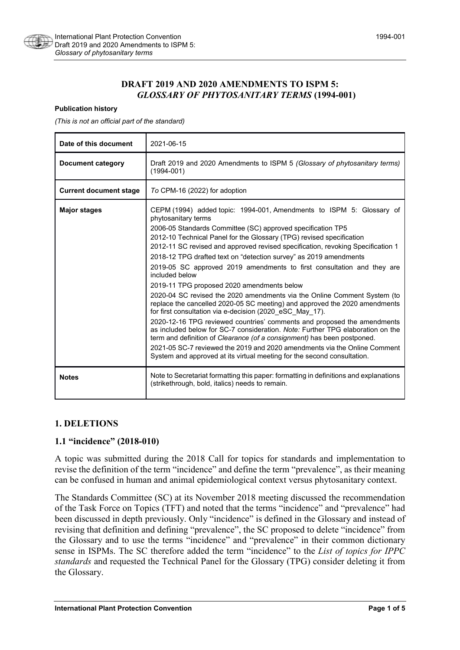

## **DRAFT 2019 AND 2020 AMENDMENTS TO ISPM 5:**  *GLOSSARY OF PHYTOSANITARY TERMS* **(1994-001)**

#### **Publication history**

*(This is not an official part of the standard)*

| Date of this document         | 2021-06-15                                                                                                                                                                                                                                                                                                                                                                                                                                                                                                                                                                                                                                                                                                                                                                                                                                                                                                                                                                                                                                                                                                                                                 |
|-------------------------------|------------------------------------------------------------------------------------------------------------------------------------------------------------------------------------------------------------------------------------------------------------------------------------------------------------------------------------------------------------------------------------------------------------------------------------------------------------------------------------------------------------------------------------------------------------------------------------------------------------------------------------------------------------------------------------------------------------------------------------------------------------------------------------------------------------------------------------------------------------------------------------------------------------------------------------------------------------------------------------------------------------------------------------------------------------------------------------------------------------------------------------------------------------|
| Document category             | Draft 2019 and 2020 Amendments to ISPM 5 (Glossary of phytosanitary terms)<br>$(1994 - 001)$                                                                                                                                                                                                                                                                                                                                                                                                                                                                                                                                                                                                                                                                                                                                                                                                                                                                                                                                                                                                                                                               |
| <b>Current document stage</b> | To CPM-16 (2022) for adoption                                                                                                                                                                                                                                                                                                                                                                                                                                                                                                                                                                                                                                                                                                                                                                                                                                                                                                                                                                                                                                                                                                                              |
| <b>Major stages</b>           | CEPM (1994) added topic: 1994-001, Amendments to ISPM 5: Glossary of<br>phytosanitary terms<br>2006-05 Standards Committee (SC) approved specification TP5<br>2012-10 Technical Panel for the Glossary (TPG) revised specification<br>2012-11 SC revised and approved revised specification, revoking Specification 1<br>2018-12 TPG drafted text on "detection survey" as 2019 amendments<br>2019-05 SC approved 2019 amendments to first consultation and they are<br>included below<br>2019-11 TPG proposed 2020 amendments below<br>2020-04 SC revised the 2020 amendments via the Online Comment System (to<br>replace the cancelled 2020-05 SC meeting) and approved the 2020 amendments<br>for first consultation via e-decision (2020_eSC_May_17).<br>2020-12-16 TPG reviewed countries' comments and proposed the amendments<br>as included below for SC-7 consideration. Note: Further TPG elaboration on the<br>term and definition of Clearance (of a consignment) has been postponed.<br>2021-05 SC-7 reviewed the 2019 and 2020 amendments via the Online Comment<br>System and approved at its virtual meeting for the second consultation. |
| <b>Notes</b>                  | Note to Secretariat formatting this paper: formatting in definitions and explanations<br>(strikethrough, bold, italics) needs to remain.                                                                                                                                                                                                                                                                                                                                                                                                                                                                                                                                                                                                                                                                                                                                                                                                                                                                                                                                                                                                                   |

### **1. DELETIONS**

### **1.1 "incidence" (2018-010)**

A topic was submitted during the 2018 Call for topics for standards and implementation to revise the definition of the term "incidence" and define the term "prevalence", as their meaning can be confused in human and animal epidemiological context versus phytosanitary context.

The Standards Committee (SC) at its November 2018 meeting discussed the recommendation of the Task Force on Topics (TFT) and noted that the terms "incidence" and "prevalence" had been discussed in depth previously. Only "incidence" is defined in the Glossary and instead of revising that definition and defining "prevalence", the SC proposed to delete "incidence" from the Glossary and to use the terms "incidence" and "prevalence" in their common dictionary sense in ISPMs. The SC therefore added the term "incidence" to the *List of topics for IPPC standards* and requested the Technical Panel for the Glossary (TPG) consider deleting it from the Glossary.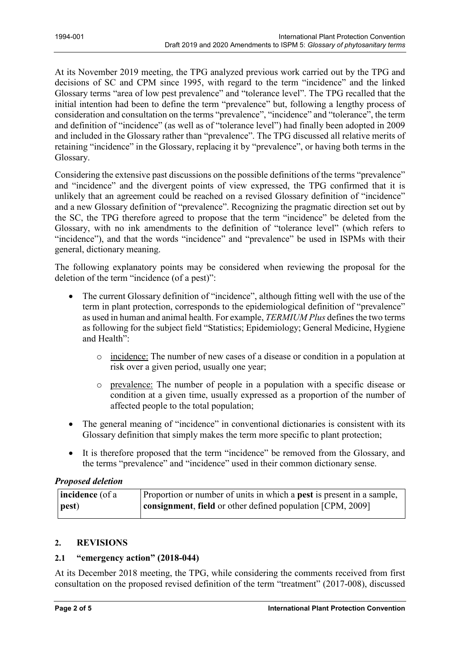At its November 2019 meeting, the TPG analyzed previous work carried out by the TPG and decisions of SC and CPM since 1995, with regard to the term "incidence" and the linked Glossary terms "area of low pest prevalence" and "tolerance level". The TPG recalled that the initial intention had been to define the term "prevalence" but, following a lengthy process of consideration and consultation on the terms "prevalence", "incidence" and "tolerance", the term and definition of "incidence" (as well as of "tolerance level") had finally been adopted in 2009 and included in the Glossary rather than "prevalence". The TPG discussed all relative merits of retaining "incidence" in the Glossary, replacing it by "prevalence", or having both terms in the Glossary.

Considering the extensive past discussions on the possible definitions of the terms "prevalence" and "incidence" and the divergent points of view expressed, the TPG confirmed that it is unlikely that an agreement could be reached on a revised Glossary definition of "incidence" and a new Glossary definition of "prevalence". Recognizing the pragmatic direction set out by the SC, the TPG therefore agreed to propose that the term "incidence" be deleted from the Glossary, with no ink amendments to the definition of "tolerance level" (which refers to "incidence"), and that the words "incidence" and "prevalence" be used in ISPMs with their general, dictionary meaning.

The following explanatory points may be considered when reviewing the proposal for the deletion of the term "incidence (of a pest)":

- The current Glossary definition of "incidence", although fitting well with the use of the term in plant protection, corresponds to the epidemiological definition of "prevalence" as used in human and animal health. For example, *TERMIUM Plus* defines the two terms as following for the subject field "Statistics; Epidemiology; General Medicine, Hygiene and Health":
	- o incidence: The number of new cases of a disease or condition in a population at risk over a given period, usually one year;
	- o prevalence: The number of people in a population with a specific disease or condition at a given time, usually expressed as a proportion of the number of affected people to the total population;
- The general meaning of "incidence" in conventional dictionaries is consistent with its Glossary definition that simply makes the term more specific to plant protection;
- It is therefore proposed that the term "incidence" be removed from the Glossary, and the terms "prevalence" and "incidence" used in their common dictionary sense.

# *Proposed deletion*

| <b>incidence</b> (of a | Proportion or number of units in which a <b>pest</b> is present in a sample, |
|------------------------|------------------------------------------------------------------------------|
| pest)                  | <b>consignment, field</b> or other defined population [CPM, 2009]            |

### **2. REVISIONS**

# **2.1 "emergency action" (2018-044)**

At its December 2018 meeting, the TPG, while considering the comments received from first consultation on the proposed revised definition of the term "treatment" (2017-008), discussed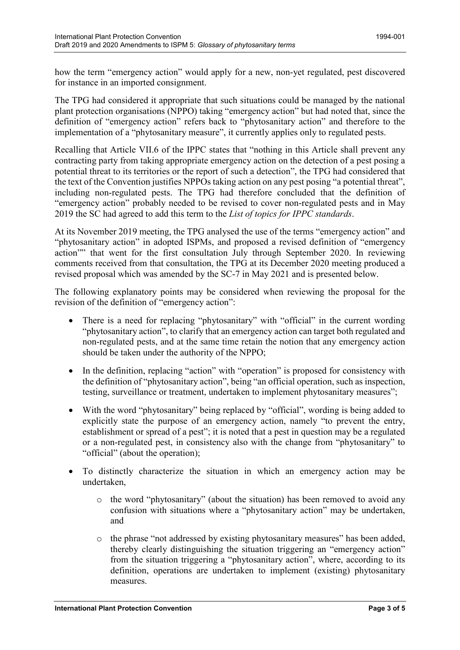how the term "emergency action" would apply for a new, non-yet regulated, pest discovered for instance in an imported consignment.

The TPG had considered it appropriate that such situations could be managed by the national plant protection organisations (NPPO) taking "emergency action" but had noted that, since the definition of "emergency action" refers back to "phytosanitary action" and therefore to the implementation of a "phytosanitary measure", it currently applies only to regulated pests.

Recalling that Article VII.6 of the IPPC states that "nothing in this Article shall prevent any contracting party from taking appropriate emergency action on the detection of a pest posing a potential threat to its territories or the report of such a detection", the TPG had considered that the text of the Convention justifies NPPOs taking action on any pest posing "a potential threat", including non-regulated pests. The TPG had therefore concluded that the definition of "emergency action" probably needed to be revised to cover non-regulated pests and in May 2019 the SC had agreed to add this term to the *List of topics for IPPC standards*.

At its November 2019 meeting, the TPG analysed the use of the terms "emergency action" and "phytosanitary action" in adopted ISPMs, and proposed a revised definition of "emergency action"" that went for the first consultation July through September 2020. In reviewing comments received from that consultation, the TPG at its December 2020 meeting produced a revised proposal which was amended by the SC-7 in May 2021 and is presented below.

The following explanatory points may be considered when reviewing the proposal for the revision of the definition of "emergency action":

- There is a need for replacing "phytosanitary" with "official" in the current wording "phytosanitary action", to clarify that an emergency action can target both regulated and non-regulated pests, and at the same time retain the notion that any emergency action should be taken under the authority of the NPPO;
- In the definition, replacing "action" with "operation" is proposed for consistency with the definition of "phytosanitary action", being "an official operation, such as inspection, testing, surveillance or treatment, undertaken to implement phytosanitary measures";
- With the word "phytosanitary" being replaced by "official", wording is being added to explicitly state the purpose of an emergency action, namely "to prevent the entry, establishment or spread of a pest"; it is noted that a pest in question may be a regulated or a non-regulated pest, in consistency also with the change from "phytosanitary" to "official" (about the operation);
- To distinctly characterize the situation in which an emergency action may be undertaken,
	- o the word "phytosanitary" (about the situation) has been removed to avoid any confusion with situations where a "phytosanitary action" may be undertaken, and
	- o the phrase "not addressed by existing phytosanitary measures" has been added, thereby clearly distinguishing the situation triggering an "emergency action" from the situation triggering a "phytosanitary action", where, according to its definition, operations are undertaken to implement (existing) phytosanitary measures.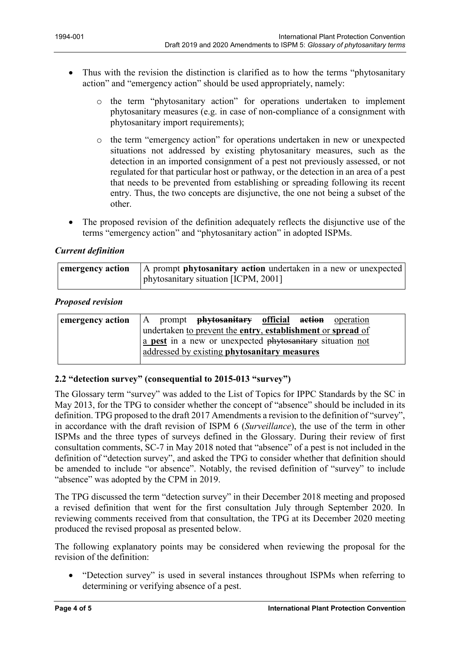- Thus with the revision the distinction is clarified as to how the terms "phytosanitary" action" and "emergency action" should be used appropriately, namely:
	- o the term "phytosanitary action" for operations undertaken to implement phytosanitary measures (e.g. in case of non-compliance of a consignment with phytosanitary import requirements);
	- o the term "emergency action" for operations undertaken in new or unexpected situations not addressed by existing phytosanitary measures, such as the detection in an imported consignment of a pest not previously assessed, or not regulated for that particular host or pathway, or the detection in an area of a pest that needs to be prevented from establishing or spreading following its recent entry. Thus, the two concepts are disjunctive, the one not being a subset of the other.
- The proposed revision of the definition adequately reflects the disjunctive use of the terms "emergency action" and "phytosanitary action" in adopted ISPMs.

# *Current definition*

| emergency action | A prompt <b>phytosanitary action</b> undertaken in a new or unexpected |
|------------------|------------------------------------------------------------------------|
|                  | phytosanitary situation [ICPM, 2001]                                   |

## *Proposed revision*

| emergency action | A prompt <b>phytosanitary official action</b> operation     |
|------------------|-------------------------------------------------------------|
|                  | undertaken to prevent the entry, establishment or spread of |
|                  | a pest in a new or unexpected phytosanitary situation not   |
|                  | addressed by existing phytosanitary measures                |

# **2.2 "detection survey" (consequential to 2015-013 "survey")**

The Glossary term "survey" was added to the List of Topics for IPPC Standards by the SC in May 2013, for the TPG to consider whether the concept of "absence" should be included in its definition. TPG proposed to the draft 2017 Amendments a revision to the definition of "survey", in accordance with the draft revision of ISPM 6 (*Surveillance*), the use of the term in other ISPMs and the three types of surveys defined in the Glossary. During their review of first consultation comments, SC-7 in May 2018 noted that "absence" of a pest is not included in the definition of "detection survey", and asked the TPG to consider whether that definition should be amended to include "or absence". Notably, the revised definition of "survey" to include "absence" was adopted by the CPM in 2019.

The TPG discussed the term "detection survey" in their December 2018 meeting and proposed a revised definition that went for the first consultation July through September 2020. In reviewing comments received from that consultation, the TPG at its December 2020 meeting produced the revised proposal as presented below.

The following explanatory points may be considered when reviewing the proposal for the revision of the definition:

• "Detection survey" is used in several instances throughout ISPMs when referring to determining or verifying absence of a pest.